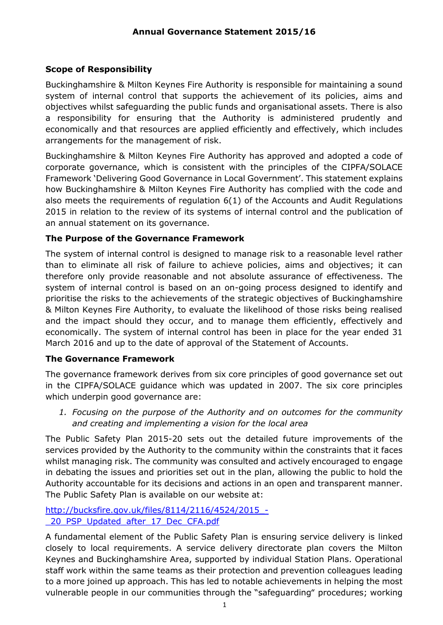### **Scope of Responsibility**

Buckinghamshire & Milton Keynes Fire Authority is responsible for maintaining a sound system of internal control that supports the achievement of its policies, aims and objectives whilst safeguarding the public funds and organisational assets. There is also a responsibility for ensuring that the Authority is administered prudently and economically and that resources are applied efficiently and effectively, which includes arrangements for the management of risk.

Buckinghamshire & Milton Keynes Fire Authority has approved and adopted a code of corporate governance, which is consistent with the principles of the CIPFA/SOLACE Framework 'Delivering Good Governance in Local Government'. This statement explains how Buckinghamshire & Milton Keynes Fire Authority has complied with the code and also meets the requirements of regulation 6(1) of the Accounts and Audit Regulations 2015 in relation to the review of its systems of internal control and the publication of an annual statement on its governance.

### **The Purpose of the Governance Framework**

The system of internal control is designed to manage risk to a reasonable level rather than to eliminate all risk of failure to achieve policies, aims and objectives; it can therefore only provide reasonable and not absolute assurance of effectiveness. The system of internal control is based on an on-going process designed to identify and prioritise the risks to the achievements of the strategic objectives of Buckinghamshire & Milton Keynes Fire Authority, to evaluate the likelihood of those risks being realised and the impact should they occur, and to manage them efficiently, effectively and economically. The system of internal control has been in place for the year ended 31 March 2016 and up to the date of approval of the Statement of Accounts.

#### **The Governance Framework**

The governance framework derives from six core principles of good governance set out in the CIPFA/SOLACE guidance which was updated in 2007. The six core principles which underpin good governance are:

*1. Focusing on the purpose of the Authority and on outcomes for the community and creating and implementing a vision for the local area*

The Public Safety Plan 2015-20 sets out the detailed future improvements of the services provided by the Authority to the community within the constraints that it faces whilst managing risk. The community was consulted and actively encouraged to engage in debating the issues and priorities set out in the plan, allowing the public to hold the Authority accountable for its decisions and actions in an open and transparent manner. The Public Safety Plan is available on our website at:

[http://bucksfire.gov.uk/files/8114/2116/4524/2015\\_-](http://bucksfire.gov.uk/files/8114/2116/4524/2015_-_20_PSP_Updated_after_17_Dec_CFA.pdf) [\\_20\\_PSP\\_Updated\\_after\\_17\\_Dec\\_CFA.pdf](http://bucksfire.gov.uk/files/8114/2116/4524/2015_-_20_PSP_Updated_after_17_Dec_CFA.pdf)

A fundamental element of the Public Safety Plan is ensuring service delivery is linked closely to local requirements. A service delivery directorate plan covers the Milton Keynes and Buckinghamshire Area, supported by individual Station Plans. Operational staff work within the same teams as their protection and prevention colleagues leading to a more joined up approach. This has led to notable achievements in helping the most vulnerable people in our communities through the "safeguarding" procedures; working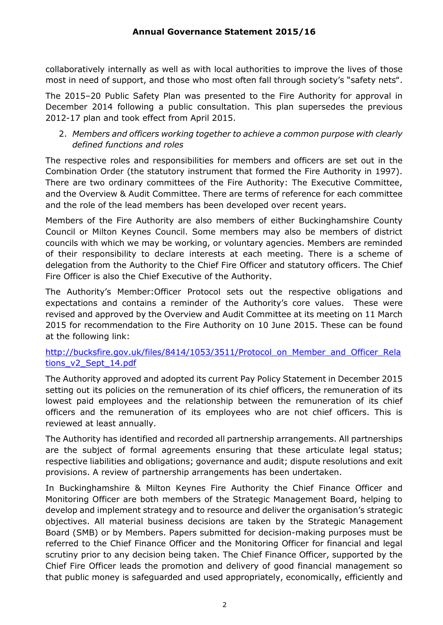collaboratively internally as well as with local authorities to improve the lives of those most in need of support, and those who most often fall through society's "safety nets".

The 2015–20 Public Safety Plan was presented to the Fire Authority for approval in December 2014 following a public consultation. This plan supersedes the previous 2012-17 plan and took effect from April 2015.

#### 2. *Members and officers working together to achieve a common purpose with clearly defined functions and roles*

The respective roles and responsibilities for members and officers are set out in the Combination Order (the statutory instrument that formed the Fire Authority in 1997). There are two ordinary committees of the Fire Authority: The Executive Committee, and the Overview & Audit Committee. There are terms of reference for each committee and the role of the lead members has been developed over recent years.

Members of the Fire Authority are also members of either Buckinghamshire County Council or Milton Keynes Council. Some members may also be members of district councils with which we may be working, or voluntary agencies. Members are reminded of their responsibility to declare interests at each meeting. There is a scheme of delegation from the Authority to the Chief Fire Officer and statutory officers. The Chief Fire Officer is also the Chief Executive of the Authority.

The Authority's Member:Officer Protocol sets out the respective obligations and expectations and contains a reminder of the Authority's core values. These were revised and approved by the Overview and Audit Committee at its meeting on 11 March 2015 for recommendation to the Fire Authority on 10 June 2015. These can be found at the following link:

#### [http://bucksfire.gov.uk/files/8414/1053/3511/Protocol\\_on\\_Member\\_and\\_Officer\\_Rela](http://bucksfire.gov.uk/files/8414/1053/3511/Protocol_on_Member_and_Officer_Relations_v2_Sept_14.pdf) [tions\\_v2\\_Sept\\_14.pdf](http://bucksfire.gov.uk/files/8414/1053/3511/Protocol_on_Member_and_Officer_Relations_v2_Sept_14.pdf)

The Authority approved and adopted its current Pay Policy Statement in December 2015 setting out its policies on the remuneration of its chief officers, the remuneration of its lowest paid employees and the relationship between the remuneration of its chief officers and the remuneration of its employees who are not chief officers. This is reviewed at least annually.

The Authority has identified and recorded all partnership arrangements. All partnerships are the subject of formal agreements ensuring that these articulate legal status; respective liabilities and obligations; governance and audit; dispute resolutions and exit provisions. A review of partnership arrangements has been undertaken.

In Buckinghamshire & Milton Keynes Fire Authority the Chief Finance Officer and Monitoring Officer are both members of the Strategic Management Board, helping to develop and implement strategy and to resource and deliver the organisation's strategic objectives. All material business decisions are taken by the Strategic Management Board (SMB) or by Members. Papers submitted for decision-making purposes must be referred to the Chief Finance Officer and the Monitoring Officer for financial and legal scrutiny prior to any decision being taken. The Chief Finance Officer, supported by the Chief Fire Officer leads the promotion and delivery of good financial management so that public money is safeguarded and used appropriately, economically, efficiently and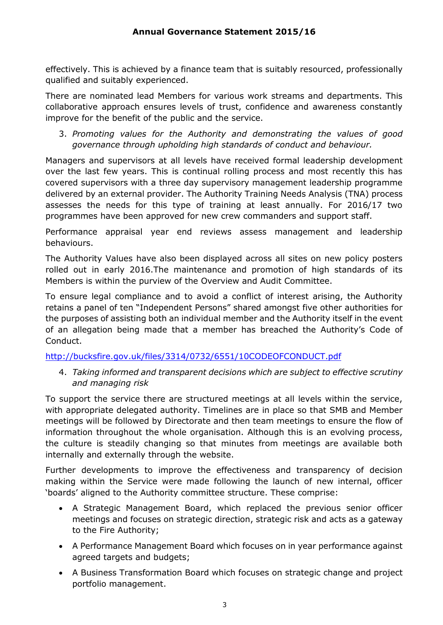effectively. This is achieved by a finance team that is suitably resourced, professionally qualified and suitably experienced.

There are nominated lead Members for various work streams and departments. This collaborative approach ensures levels of trust, confidence and awareness constantly improve for the benefit of the public and the service.

3. *Promoting values for the Authority and demonstrating the values of good governance through upholding high standards of conduct and behaviour.* 

Managers and supervisors at all levels have received formal leadership development over the last few years. This is continual rolling process and most recently this has covered supervisors with a three day supervisory management leadership programme delivered by an external provider. The Authority Training Needs Analysis (TNA) process assesses the needs for this type of training at least annually. For 2016/17 two programmes have been approved for new crew commanders and support staff.

Performance appraisal year end reviews assess management and leadership behaviours.

The Authority Values have also been displayed across all sites on new policy posters rolled out in early 2016.The maintenance and promotion of high standards of its Members is within the purview of the Overview and Audit Committee.

To ensure legal compliance and to avoid a conflict of interest arising, the Authority retains a panel of ten "Independent Persons" shared amongst five other authorities for the purposes of assisting both an individual member and the Authority itself in the event of an allegation being made that a member has breached the Authority's Code of Conduct.

<http://bucksfire.gov.uk/files/3314/0732/6551/10CODEOFCONDUCT.pdf>

4. *Taking informed and transparent decisions which are subject to effective scrutiny and managing risk* 

To support the service there are structured meetings at all levels within the service, with appropriate delegated authority. Timelines are in place so that SMB and Member meetings will be followed by Directorate and then team meetings to ensure the flow of information throughout the whole organisation. Although this is an evolving process, the culture is steadily changing so that minutes from meetings are available both internally and externally through the website.

Further developments to improve the effectiveness and transparency of decision making within the Service were made following the launch of new internal, officer 'boards' aligned to the Authority committee structure. These comprise:

- A Strategic Management Board, which replaced the previous senior officer meetings and focuses on strategic direction, strategic risk and acts as a gateway to the Fire Authority;
- A Performance Management Board which focuses on in year performance against agreed targets and budgets;
- A Business Transformation Board which focuses on strategic change and project portfolio management.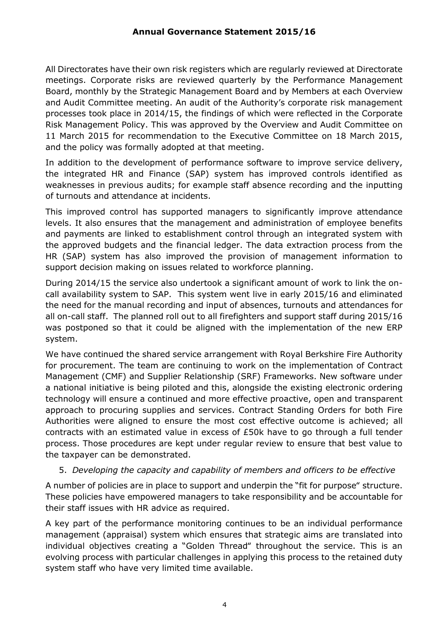All Directorates have their own risk registers which are regularly reviewed at Directorate meetings. Corporate risks are reviewed quarterly by the Performance Management Board, monthly by the Strategic Management Board and by Members at each Overview and Audit Committee meeting. An audit of the Authority's corporate risk management processes took place in 2014/15, the findings of which were reflected in the Corporate Risk Management Policy. This was approved by the Overview and Audit Committee on 11 March 2015 for recommendation to the Executive Committee on 18 March 2015, and the policy was formally adopted at that meeting.

In addition to the development of performance software to improve service delivery, the integrated HR and Finance (SAP) system has improved controls identified as weaknesses in previous audits; for example staff absence recording and the inputting of turnouts and attendance at incidents.

This improved control has supported managers to significantly improve attendance levels. It also ensures that the management and administration of employee benefits and payments are linked to establishment control through an integrated system with the approved budgets and the financial ledger. The data extraction process from the HR (SAP) system has also improved the provision of management information to support decision making on issues related to workforce planning.

During 2014/15 the service also undertook a significant amount of work to link the oncall availability system to SAP. This system went live in early 2015/16 and eliminated the need for the manual recording and input of absences, turnouts and attendances for all on-call staff. The planned roll out to all firefighters and support staff during 2015/16 was postponed so that it could be aligned with the implementation of the new ERP system.

We have continued the shared service arrangement with Royal Berkshire Fire Authority for procurement. The team are continuing to work on the implementation of Contract Management (CMF) and Supplier Relationship (SRF) Frameworks. New software under a national initiative is being piloted and this, alongside the existing electronic ordering technology will ensure a continued and more effective proactive, open and transparent approach to procuring supplies and services. Contract Standing Orders for both Fire Authorities were aligned to ensure the most cost effective outcome is achieved; all contracts with an estimated value in excess of £50k have to go through a full tender process. Those procedures are kept under regular review to ensure that best value to the taxpayer can be demonstrated.

#### 5. *Developing the capacity and capability of members and officers to be effective*

A number of policies are in place to support and underpin the "fit for purpose" structure. These policies have empowered managers to take responsibility and be accountable for their staff issues with HR advice as required.

A key part of the performance monitoring continues to be an individual performance management (appraisal) system which ensures that strategic aims are translated into individual objectives creating a "Golden Thread" throughout the service. This is an evolving process with particular challenges in applying this process to the retained duty system staff who have very limited time available.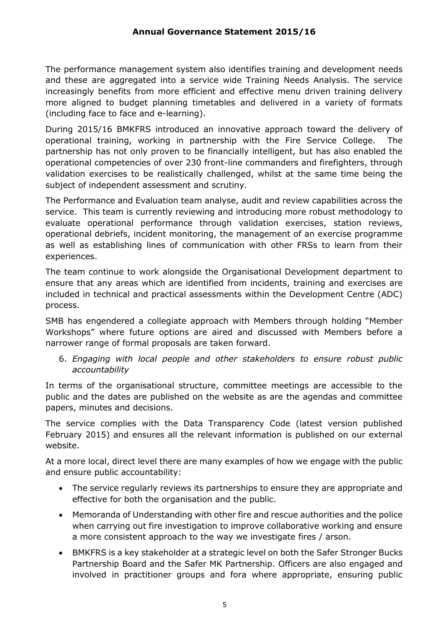The performance management system also identifies training and development needs and these are aggregated into a service wide Training Needs Analysis. The service increasingly benefits from more efficient and effective menu driven training delivery more aligned to budget planning timetables and delivered in a variety of formats (including face to face and e-learning).

During 2015/16 BMKFRS introduced an innovative approach toward the delivery of operational training, working in partnership with the Fire Service College. The partnership has not only proven to be financially intelligent, but has also enabled the operational competencies of over 230 front-line commanders and firefighters, through validation exercises to be realistically challenged, whilst at the same time being the subject of independent assessment and scrutiny.

The Performance and Evaluation team analyse, audit and review capabilities across the service. This team is currently reviewing and introducing more robust methodology to evaluate operational performance through validation exercises, station reviews, operational debriefs, incident monitoring, the management of an exercise programme as well as establishing lines of communication with other FRSs to learn from their experiences.

The team continue to work alongside the Organisational Development department to ensure that any areas which are identified from incidents, training and exercises are included in technical and practical assessments within the Development Centre (ADC) process.

SMB has engendered a collegiate approach with Members through holding "Member Workshops" where future options are aired and discussed with Members before a narrower range of formal proposals are taken forward.

6. *Engaging with local people and other stakeholders to ensure robust public accountability* 

In terms of the organisational structure, committee meetings are accessible to the public and the dates are published on the website as are the agendas and committee papers, minutes and decisions.

The service complies with the Data Transparency Code (latest version published February 2015) and ensures all the relevant information is published on our external website.

At a more local, direct level there are many examples of how we engage with the public and ensure public accountability:

- The service regularly reviews its partnerships to ensure they are appropriate and effective for both the organisation and the public.
- Memoranda of Understanding with other fire and rescue authorities and the police when carrying out fire investigation to improve collaborative working and ensure a more consistent approach to the way we investigate fires / arson.
- BMKFRS is a key stakeholder at a strategic level on both the Safer Stronger Bucks Partnership Board and the Safer MK Partnership. Officers are also engaged and involved in practitioner groups and fora where appropriate, ensuring public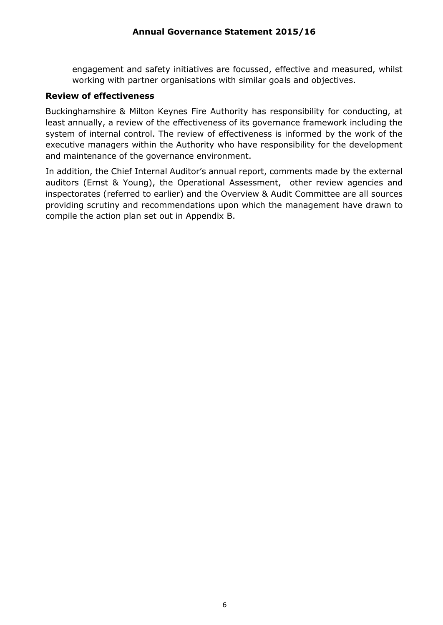engagement and safety initiatives are focussed, effective and measured, whilst working with partner organisations with similar goals and objectives.

#### **Review of effectiveness**

Buckinghamshire & Milton Keynes Fire Authority has responsibility for conducting, at least annually, a review of the effectiveness of its governance framework including the system of internal control. The review of effectiveness is informed by the work of the executive managers within the Authority who have responsibility for the development and maintenance of the governance environment.

In addition, the Chief Internal Auditor's annual report, comments made by the external auditors (Ernst & Young), the Operational Assessment, other review agencies and inspectorates (referred to earlier) and the Overview & Audit Committee are all sources providing scrutiny and recommendations upon which the management have drawn to compile the action plan set out in Appendix B.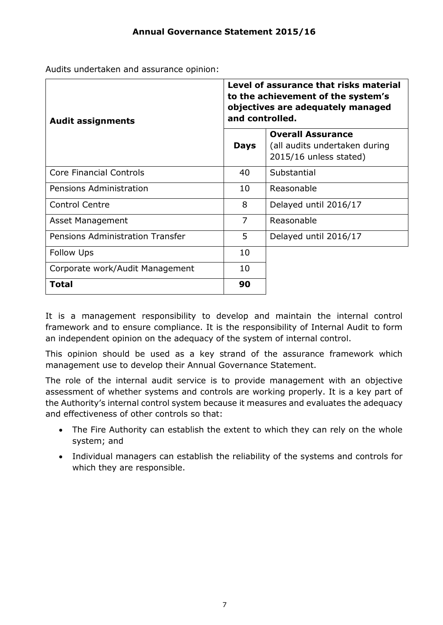Audits undertaken and assurance opinion:

| <b>Audit assignments</b>         | Level of assurance that risks material<br>to the achievement of the system's<br>objectives are adequately managed<br>and controlled. |                                                                                     |  |
|----------------------------------|--------------------------------------------------------------------------------------------------------------------------------------|-------------------------------------------------------------------------------------|--|
|                                  | <b>Days</b>                                                                                                                          | <b>Overall Assurance</b><br>(all audits undertaken during<br>2015/16 unless stated) |  |
| <b>Core Financial Controls</b>   | 40                                                                                                                                   | Substantial                                                                         |  |
| Pensions Administration          | 10                                                                                                                                   | Reasonable                                                                          |  |
| <b>Control Centre</b>            | 8                                                                                                                                    | Delayed until 2016/17                                                               |  |
| Asset Management                 | 7                                                                                                                                    | Reasonable                                                                          |  |
| Pensions Administration Transfer | 5                                                                                                                                    | Delayed until 2016/17                                                               |  |
| <b>Follow Ups</b>                | 10                                                                                                                                   |                                                                                     |  |
| Corporate work/Audit Management  | 10                                                                                                                                   |                                                                                     |  |
| Total                            | 90                                                                                                                                   |                                                                                     |  |

It is a management responsibility to develop and maintain the internal control framework and to ensure compliance. It is the responsibility of Internal Audit to form an independent opinion on the adequacy of the system of internal control.

This opinion should be used as a key strand of the assurance framework which management use to develop their Annual Governance Statement.

The role of the internal audit service is to provide management with an objective assessment of whether systems and controls are working properly. It is a key part of the Authority's internal control system because it measures and evaluates the adequacy and effectiveness of other controls so that:

- The Fire Authority can establish the extent to which they can rely on the whole system; and
- Individual managers can establish the reliability of the systems and controls for which they are responsible.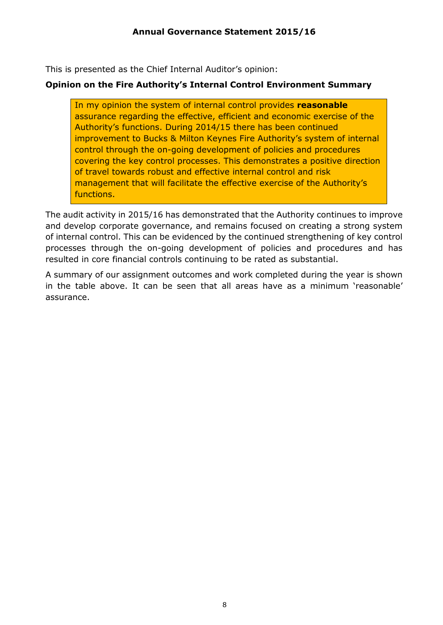This is presented as the Chief Internal Auditor's opinion:

### **Opinion on the Fire Authority's Internal Control Environment Summary**

In my opinion the system of internal control provides **reasonable** assurance regarding the effective, efficient and economic exercise of the Authority's functions. During 2014/15 there has been continued improvement to Bucks & Milton Keynes Fire Authority's system of internal control through the on-going development of policies and procedures covering the key control processes. This demonstrates a positive direction of travel towards robust and effective internal control and risk management that will facilitate the effective exercise of the Authority's functions.

The audit activity in 2015/16 has demonstrated that the Authority continues to improve and develop corporate governance, and remains focused on creating a strong system of internal control. This can be evidenced by the continued strengthening of key control processes through the on-going development of policies and procedures and has resulted in core financial controls continuing to be rated as substantial.

A summary of our assignment outcomes and work completed during the year is shown in the table above. It can be seen that all areas have as a minimum 'reasonable' assurance.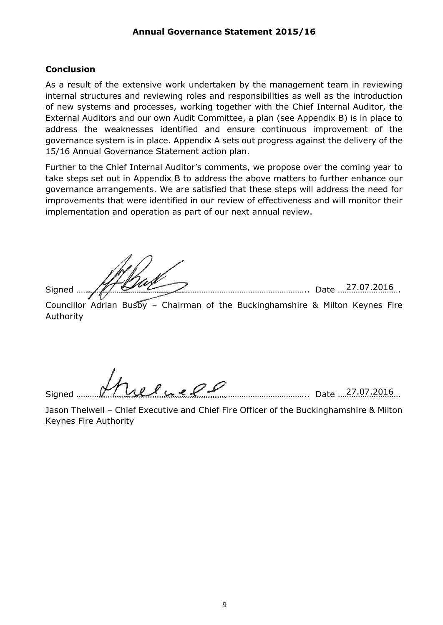#### **Conclusion**

As a result of the extensive work undertaken by the management team in reviewing internal structures and reviewing roles and responsibilities as well as the introduction of new systems and processes, working together with the Chief Internal Auditor, the External Auditors and our own Audit Committee, a plan (see Appendix B) is in place to address the weaknesses identified and ensure continuous improvement of the governance system is in place. Appendix A sets out progress against the delivery of the 15/16 Annual Governance Statement action plan.

Further to the Chief Internal Auditor's comments, we propose over the coming year to take steps set out in Appendix B to address the above matters to further enhance our governance arrangements. We are satisfied that these steps will address the need for improvements that were identified in our review of effectiveness and will monitor their implementation and operation as part of our next annual review.

Signed ………………………………………………………………………………………….. Date ………………………. 27.07.2016

Councillor Adrian Busby - Chairman of the Buckinghamshire & Milton Keynes Fire Authority

Signed <u>Ware Care (1990)</u> and the state was seen to bate 27.07.2016

Jason Thelwell – Chief Executive and Chief Fire Officer of the Buckinghamshire & Milton Keynes Fire Authority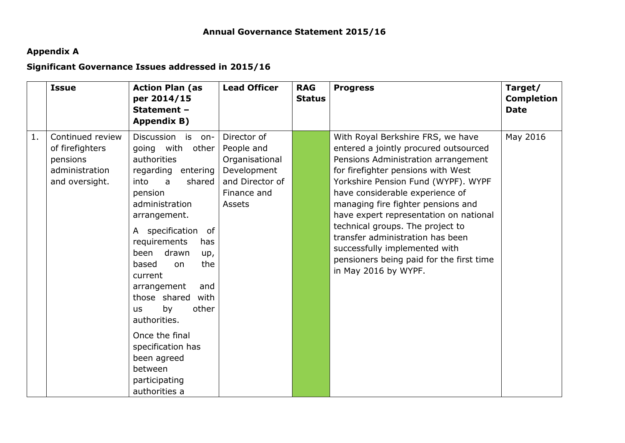# **Appendix A**

# **Significant Governance Issues addressed in 2015/16**

|    | <b>Issue</b>                                                                        | <b>Action Plan (as</b><br>per 2014/15<br>Statement -<br>Appendix B)                                                                                                                                                                                                                                                                                                                                                                                               | <b>Lead Officer</b>                                                                                    | <b>RAG</b><br><b>Status</b> | <b>Progress</b>                                                                                                                                                                                                                                                                                                                                                                                                                                                                                | Target/<br><b>Completion</b><br><b>Date</b> |
|----|-------------------------------------------------------------------------------------|-------------------------------------------------------------------------------------------------------------------------------------------------------------------------------------------------------------------------------------------------------------------------------------------------------------------------------------------------------------------------------------------------------------------------------------------------------------------|--------------------------------------------------------------------------------------------------------|-----------------------------|------------------------------------------------------------------------------------------------------------------------------------------------------------------------------------------------------------------------------------------------------------------------------------------------------------------------------------------------------------------------------------------------------------------------------------------------------------------------------------------------|---------------------------------------------|
| 1. | Continued review<br>of firefighters<br>pensions<br>administration<br>and oversight. | Discussion is<br>on-<br>going with<br>other<br>authorities<br>regarding entering<br>into<br>shared  <br>$\mathsf{a}$<br>pension<br>administration<br>arrangement.<br>A specification of<br>requirements<br>has<br>been<br>drawn<br>up,<br>based<br>the<br>on<br>current<br>arrangement<br>and<br>those shared with<br>by<br>other<br><b>us</b><br>authorities.<br>Once the final<br>specification has<br>been agreed<br>between<br>participating<br>authorities a | Director of<br>People and<br>Organisational<br>Development<br>and Director of<br>Finance and<br>Assets |                             | With Royal Berkshire FRS, we have<br>entered a jointly procured outsourced<br>Pensions Administration arrangement<br>for firefighter pensions with West<br>Yorkshire Pension Fund (WYPF). WYPF<br>have considerable experience of<br>managing fire fighter pensions and<br>have expert representation on national<br>technical groups. The project to<br>transfer administration has been<br>successfully implemented with<br>pensioners being paid for the first time<br>in May 2016 by WYPF. | May 2016                                    |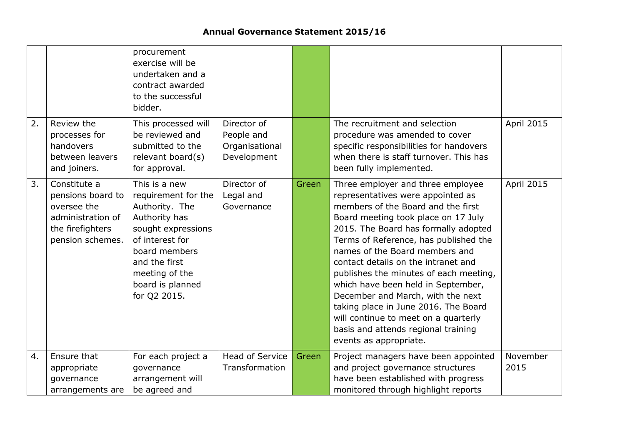# **Annual Governance Statement 2015/16**

|    |                                                                                                               | procurement<br>exercise will be<br>undertaken and a<br>contract awarded<br>to the successful<br>bidder.                                                                                                  |                                                            |       |                                                                                                                                                                                                                                                                                                                                                                                                                                                                                                                                                                                     |                   |
|----|---------------------------------------------------------------------------------------------------------------|----------------------------------------------------------------------------------------------------------------------------------------------------------------------------------------------------------|------------------------------------------------------------|-------|-------------------------------------------------------------------------------------------------------------------------------------------------------------------------------------------------------------------------------------------------------------------------------------------------------------------------------------------------------------------------------------------------------------------------------------------------------------------------------------------------------------------------------------------------------------------------------------|-------------------|
| 2. | Review the<br>processes for<br>handovers<br>between leavers<br>and joiners.                                   | This processed will<br>be reviewed and<br>submitted to the<br>relevant board(s)<br>for approval.                                                                                                         | Director of<br>People and<br>Organisational<br>Development |       | The recruitment and selection<br>procedure was amended to cover<br>specific responsibilities for handovers<br>when there is staff turnover. This has<br>been fully implemented.                                                                                                                                                                                                                                                                                                                                                                                                     | <b>April 2015</b> |
| 3. | Constitute a<br>pensions board to<br>oversee the<br>administration of<br>the firefighters<br>pension schemes. | This is a new<br>requirement for the<br>Authority. The<br>Authority has<br>sought expressions<br>of interest for<br>board members<br>and the first<br>meeting of the<br>board is planned<br>for Q2 2015. | Director of<br>Legal and<br>Governance                     | Green | Three employer and three employee<br>representatives were appointed as<br>members of the Board and the first<br>Board meeting took place on 17 July<br>2015. The Board has formally adopted<br>Terms of Reference, has published the<br>names of the Board members and<br>contact details on the intranet and<br>publishes the minutes of each meeting,<br>which have been held in September,<br>December and March, with the next<br>taking place in June 2016. The Board<br>will continue to meet on a quarterly<br>basis and attends regional training<br>events as appropriate. | <b>April 2015</b> |
| 4. | Ensure that<br>appropriate<br>governance<br>arrangements are                                                  | For each project a<br>governance<br>arrangement will<br>be agreed and                                                                                                                                    | <b>Head of Service</b><br>Transformation                   | Green | Project managers have been appointed<br>and project governance structures<br>have been established with progress<br>monitored through highlight reports                                                                                                                                                                                                                                                                                                                                                                                                                             | November<br>2015  |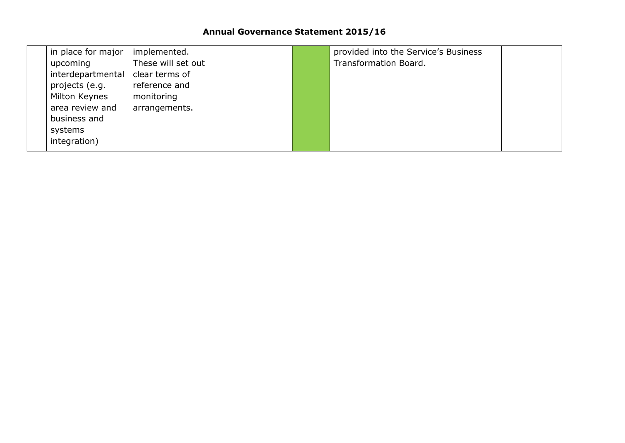# **Annual Governance Statement 2015/16**

| in place for major | implemented.       |  | provided into the Service's Business |  |
|--------------------|--------------------|--|--------------------------------------|--|
| upcoming           | These will set out |  | Transformation Board.                |  |
| interdepartmental  | clear terms of     |  |                                      |  |
| projects (e.g.     | reference and      |  |                                      |  |
| Milton Keynes      | monitoring         |  |                                      |  |
| area review and    | arrangements.      |  |                                      |  |
| business and       |                    |  |                                      |  |
| systems            |                    |  |                                      |  |
| integration)       |                    |  |                                      |  |
|                    |                    |  |                                      |  |